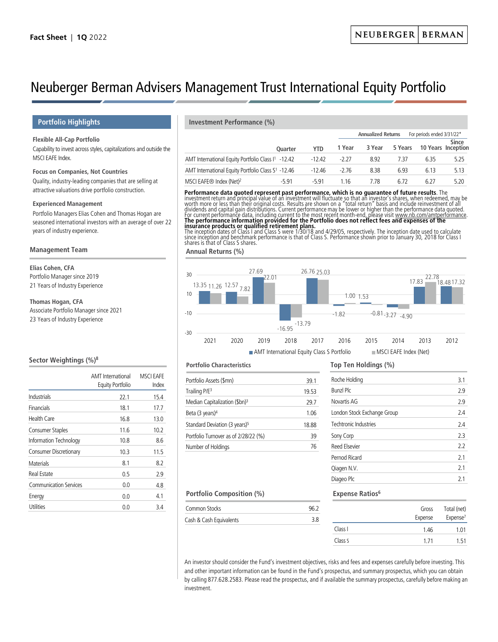# Neuberger Berman Advisers Management Trust International Equity Portfolio

## **Flexible All-Cap Portfolio**

Capability to invest across styles, capitalizations and outside the MSCI EAFE Index.

# **Focus on Companies, Not Countries**

Quality, industry-leading companies that are selling at attractive valuations drive portfolio construction.

#### **Experienced Management**

Portfolio Managers Elias Cohen and Thomas Hogan are seasoned international investors with an average of over 22 years of industry experience.

#### **Management Team**

**Elias Cohen, CFA** Portfolio Manager since 2019 21 Years of Industry Experience

### **Thomas Hogan, CFA**

Associate Portfolio Manager since 2021 23 Years of Industry Experience

# **Sector Weightings (%)8**

|                               | <b>AMT</b> International<br><b>Equity Portfolio</b> | <b>MSCI EAFE</b><br>Index |
|-------------------------------|-----------------------------------------------------|---------------------------|
| Industrials                   | 22.1                                                | 15.4                      |
| Financials                    | 18.1                                                | 17.7                      |
| <b>Health Care</b>            | 16.8                                                | 13.0                      |
| <b>Consumer Staples</b>       | 11.6                                                | 10.2                      |
| Information Technology        | 10.8                                                | 8.6                       |
| <b>Consumer Discretionary</b> | 10.3                                                | 11.5                      |
| Materials                     | 8.1                                                 | 8.2                       |
| Real Estate                   | 0.5                                                 | 2.9                       |
| <b>Communication Services</b> | 0.0                                                 | 4.8                       |
| Energy                        | 0.0                                                 | 4.1                       |
| Utilities                     | 0.0                                                 | 3.4                       |

# **Portfolio Highlights Investment Performance (%)**

|                                                                |                |            | <b>Annualized Returns</b> |        |         | For periods ended 3/31/22* |       |
|----------------------------------------------------------------|----------------|------------|---------------------------|--------|---------|----------------------------|-------|
|                                                                | <b>Ouarter</b> | <b>YTD</b> | 1 Year                    | 3 Year | 5 Years | <b>10 Years Inception</b>  | Since |
| AMT International Equity Portfolio Class I <sup>1</sup> -12.42 |                | -12.42     | $-2.27$                   | 8.92   | 7 37    | 635                        | 5.25  |
| AMT International Equity Portfolio Class S <sup>1</sup> -12.46 |                | $-12.46$   | -276                      | 8.38   | 6.93    | 6.13                       | 5.13  |
| MSCI EAFE <sup>®</sup> Index (Net) <sup>2</sup>                | -591           | -5 91      | 1 16                      | 7 78   | 6.72    | 6.27                       | 5.20  |

**Performance data quoted represent past performance, which is no guarantee of future results**. The<br>investment return and principal value of an investment will fluctuate so that an investor's shares, when redeemed, may be<br>w

**insurance products or qualified retirement plans.**<br>The inception dates of Class I and Class S were 1/30/18 and 4/29/05, respectively. The inception date used to calculate<br>since inception and benchmark performance is that shares is that of Class S shares.

**Annual Returns (%)**



#### **Portfolio Characteristics**

| Portfolio Assets (\$mn)                   | 39.1  |
|-------------------------------------------|-------|
| Trailing P/E <sup>3</sup>                 | 19.53 |
| Median Capitalization (\$bn) <sup>3</sup> | 29.7  |
| Beta (3 years) <sup>4</sup>               | 1.06  |
| Standard Deviation (3 years) <sup>5</sup> | 18.88 |
| Portfolio Turnover as of 2/28/22 (%)      | 39    |
| Number of Holdings                        | 76    |
|                                           |       |

# **Top Ten Holdings (%)**

| Roche Holding               | 3.1 |
|-----------------------------|-----|
| <b>Bunzl Plc</b>            | 2.9 |
| Novartis AG                 | 2.9 |
| London Stock Exchange Group | 2.4 |
| Techtronic Industries       | 2.4 |
| Sony Corp                   | 23  |
| Reed Flsevier               | 22  |
| Pernod Ricard               | 21  |
| Qiagen N.V.                 | 21  |
| Diageo Plc                  | 21  |

### **Portfolio Composition (%)**

| 3.4 | Stocks<br>ommon         | 96.2 | Gross   | Total (net) |
|-----|-------------------------|------|---------|-------------|
|     | Cash & Cash Equivalents | 0.د  | Expense | Expense′    |
|     |                         |      |         |             |

**Expense Ratios6**

|         | Gross   | Total (net)          |
|---------|---------|----------------------|
|         | Expense | Expense <sup>7</sup> |
| Class I | 1.46    | 1.01                 |
| Class S | 171     | 1.51                 |

An investor should consider the Fund's investment objectives, risks and fees and expenses carefully before investing. This and other important information can be found in the Fund's prospectus, and summary prospectus, which you can obtain by calling 877.628.2583. Please read the prospectus, and if available the summary prospectus, carefully before making an investment.